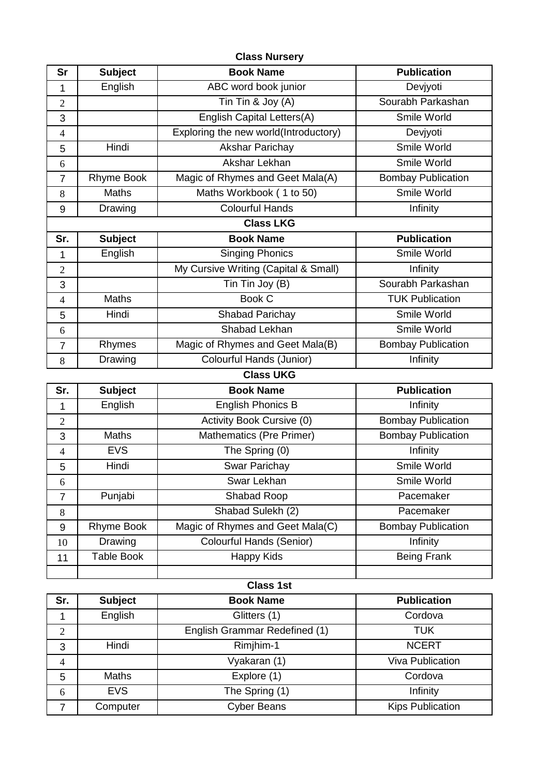|                |                        | <b>Class Nursery</b>                  |                                     |
|----------------|------------------------|---------------------------------------|-------------------------------------|
| <b>Sr</b>      | <b>Subject</b>         | <b>Book Name</b>                      | <b>Publication</b>                  |
| 1              | English                | ABC word book junior                  | Devjyoti                            |
| $\overline{2}$ |                        | Tin Tin & Joy (A)                     | Sourabh Parkashan                   |
| 3              |                        | <b>English Capital Letters(A)</b>     | Smile World                         |
| $\overline{4}$ |                        | Exploring the new world(Introductory) | Devjyoti                            |
| 5              | Hindi                  | <b>Akshar Parichay</b>                | Smile World                         |
| 6              |                        | Akshar Lekhan                         | Smile World                         |
| $\overline{7}$ | <b>Rhyme Book</b>      | Magic of Rhymes and Geet Mala(A)      | <b>Bombay Publication</b>           |
| 8              | Maths                  | Maths Workbook (1 to 50)              | Smile World                         |
| 9              | Drawing                | <b>Colourful Hands</b>                | Infinity                            |
|                |                        | <b>Class LKG</b>                      |                                     |
| Sr.            | <b>Subject</b>         | <b>Book Name</b>                      | <b>Publication</b>                  |
| 1              | English                | <b>Singing Phonics</b>                | Smile World                         |
| $\overline{2}$ |                        | My Cursive Writing (Capital & Small)  | Infinity                            |
| 3              |                        | Tin Tin Joy (B)                       | Sourabh Parkashan                   |
| $\overline{4}$ | <b>Maths</b>           | <b>Book C</b>                         | <b>TUK Publication</b>              |
| 5              | Hindi                  | Shabad Parichay                       | Smile World                         |
| 6              |                        | Shabad Lekhan                         | Smile World                         |
| $\overline{7}$ | Rhymes                 | Magic of Rhymes and Geet Mala(B)      | <b>Bombay Publication</b>           |
| 8              | Drawing                | Colourful Hands (Junior)              | Infinity                            |
|                |                        | <b>Class UKG</b>                      |                                     |
|                |                        |                                       |                                     |
| Sr.            | <b>Subject</b>         | <b>Book Name</b>                      | <b>Publication</b>                  |
| 1              | English                | <b>English Phonics B</b>              | Infinity                            |
| $\overline{2}$ |                        | Activity Book Cursive (0)             | <b>Bombay Publication</b>           |
| 3              | <b>Maths</b>           | <b>Mathematics (Pre Primer)</b>       | <b>Bombay Publication</b>           |
| $\overline{4}$ | <b>EVS</b>             | The Spring (0)                        | Infinity                            |
| 5              | Hindi                  | <b>Swar Parichay</b>                  | Smile World                         |
| 6              |                        | Swar Lekhan                           | Smile World                         |
| $\overline{7}$ | Punjabi                | Shabad Roop                           | Pacemaker                           |
| 8              |                        | Shabad Sulekh (2)                     | Pacemaker                           |
| 9              | <b>Rhyme Book</b>      | Magic of Rhymes and Geet Mala(C)      | <b>Bombay Publication</b>           |
| 10             | Drawing                | <b>Colourful Hands (Senior)</b>       | Infinity                            |
| 11             | <b>Table Book</b>      | <b>Happy Kids</b>                     | <b>Being Frank</b>                  |
|                |                        |                                       |                                     |
|                |                        | <b>Class 1st</b>                      |                                     |
| Sr.            | <b>Subject</b>         | <b>Book Name</b>                      | <b>Publication</b>                  |
| $\mathbf{1}$   | English                | Glitters (1)                          | Cordova                             |
| $\overline{2}$ |                        | English Grammar Redefined (1)         | <b>TUK</b>                          |
| 3              | Hindi                  | Rimjhim-1                             | <b>NCERT</b>                        |
| $\overline{4}$ |                        | Vyakaran (1)                          | Viva Publication                    |
| 5              | <b>Maths</b>           | Explore (1)                           | Cordova                             |
| 6              | <b>EVS</b><br>Computer | The Spring (1)<br>Cyber Beans         | Infinity<br><b>Kips Publication</b> |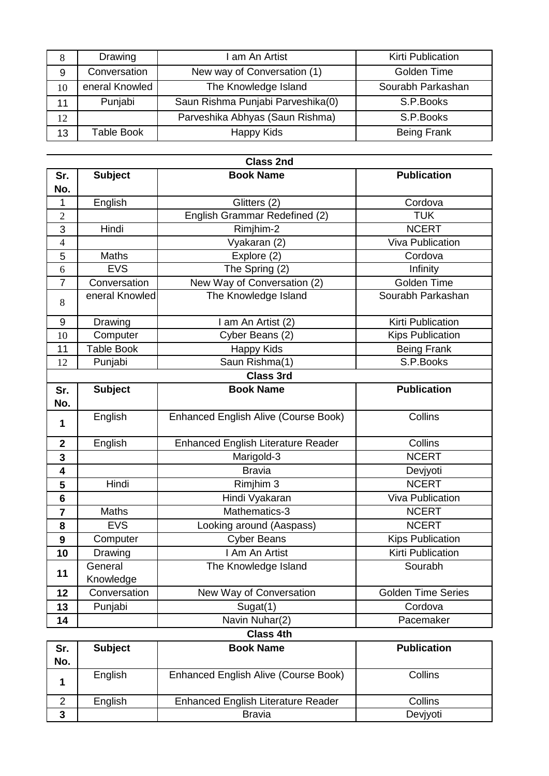| 8  | Drawing           | I am An Artist                    | <b>Kirti Publication</b> |
|----|-------------------|-----------------------------------|--------------------------|
| 9  | Conversation      | New way of Conversation (1)       | Golden Time              |
| 10 | eneral Knowled    | The Knowledge Island              | Sourabh Parkashan        |
| 11 | Punjabi           | Saun Rishma Punjabi Parveshika(0) | S.P.Books                |
| 12 |                   | Parveshika Abhyas (Saun Rishma)   | S.P.Books                |
| 13 | <b>Table Book</b> | Happy Kids                        | <b>Being Frank</b>       |

|                  | <b>Class 2nd</b>     |                                             |                           |  |
|------------------|----------------------|---------------------------------------------|---------------------------|--|
| Sr.              | <b>Subject</b>       | <b>Book Name</b>                            | <b>Publication</b>        |  |
| No.              |                      |                                             |                           |  |
| 1                | English              | Glitters (2)                                | Cordova                   |  |
| $\overline{2}$   |                      | English Grammar Redefined (2)               | <b>TUK</b>                |  |
| 3                | Hindi                | Rimjhim-2                                   | <b>NCERT</b>              |  |
| $\overline{4}$   |                      | Vyakaran (2)                                | Viva Publication          |  |
| 5                | <b>Maths</b>         | Explore (2)                                 | Cordova                   |  |
| 6                | <b>EVS</b>           | The Spring (2)                              | Infinity                  |  |
| $\overline{7}$   | Conversation         | New Way of Conversation (2)                 | Golden Time               |  |
| 8                | eneral Knowled       | The Knowledge Island                        | Sourabh Parkashan         |  |
| 9                | Drawing              | I am An Artist (2)                          | <b>Kirti Publication</b>  |  |
| 10               | Computer             | Cyber Beans (2)                             | <b>Kips Publication</b>   |  |
| 11               | <b>Table Book</b>    | Happy Kids                                  | <b>Being Frank</b>        |  |
| 12               | Punjabi              | Saun Rishma(1)                              | S.P.Books                 |  |
|                  |                      | <b>Class 3rd</b>                            |                           |  |
| Sr.              | <b>Subject</b>       | <b>Book Name</b>                            | <b>Publication</b>        |  |
| No.              |                      |                                             |                           |  |
| 1                | English              | <b>Enhanced English Alive (Course Book)</b> | Collins                   |  |
| $\mathbf{2}$     | English              | <b>Enhanced English Literature Reader</b>   | Collins                   |  |
| $\mathbf{3}$     |                      | Marigold-3                                  | <b>NCERT</b>              |  |
| 4                |                      | <b>Bravia</b>                               | Devjyoti                  |  |
| 5                | Hindi                | Rimjhim 3                                   | <b>NCERT</b>              |  |
| 6                |                      | Hindi Vyakaran                              | <b>Viva Publication</b>   |  |
| $\overline{7}$   | Maths                | Mathematics-3                               | <b>NCERT</b>              |  |
| 8                | <b>EVS</b>           | Looking around (Aaspass)                    | <b>NCERT</b>              |  |
| $\boldsymbol{9}$ | Computer             | <b>Cyber Beans</b>                          | <b>Kips Publication</b>   |  |
| 10               | Drawing              | I Am An Artist                              | <b>Kirti Publication</b>  |  |
| 11               | General<br>Knowledge | The Knowledge Island                        | Sourabh                   |  |
| 12               | Conversation         | New Way of Conversation                     | <b>Golden Time Series</b> |  |
| 13               | Punjabi              | Sugat(1)                                    | Cordova                   |  |
| 14               |                      | Navin Nuhar(2)                              | Pacemaker                 |  |
|                  |                      | <b>Class 4th</b>                            |                           |  |
| Sr.<br>Nη        | <b>Subject</b>       | <b>Book Name</b>                            | <b>Publication</b>        |  |

| No. |         |                                           |          |
|-----|---------|-------------------------------------------|----------|
|     | English | Enhanced English Alive (Course Book)      | Collins  |
|     | English | <b>Enhanced English Literature Reader</b> | Collins  |
|     |         | <b>Bravia</b>                             | Deviyoti |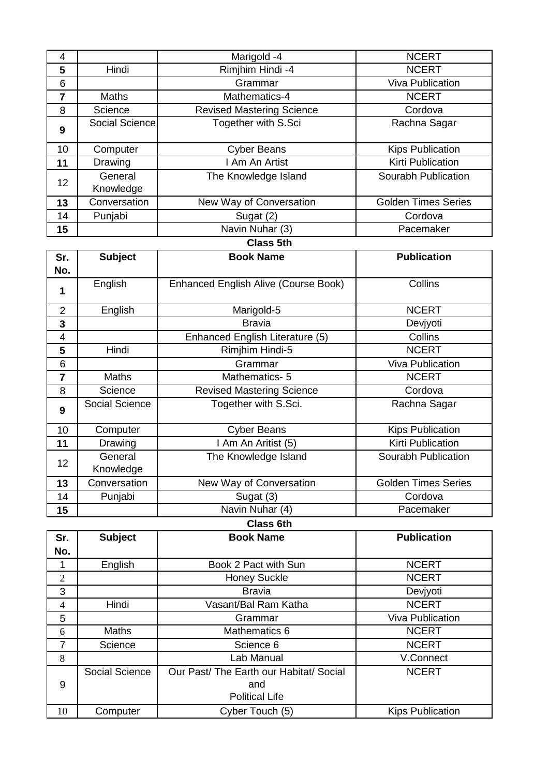| 4                |                       | Marigold -4                                 | <b>NCERT</b>               |
|------------------|-----------------------|---------------------------------------------|----------------------------|
| 5                | Hindi                 | Rimjhim Hindi -4                            | <b>NCERT</b>               |
| 6                |                       | Grammar                                     | <b>Viva Publication</b>    |
| $\overline{7}$   | Maths                 | Mathematics-4                               | <b>NCERT</b>               |
| 8                | Science               | <b>Revised Mastering Science</b>            | Cordova                    |
| 9                | <b>Social Science</b> | Together with S.Sci                         | Rachna Sagar               |
| 10               | Computer              | <b>Cyber Beans</b>                          | <b>Kips Publication</b>    |
| 11               | Drawing               | I Am An Artist                              | <b>Kirti Publication</b>   |
| 12               | General<br>Knowledge  | The Knowledge Island                        | Sourabh Publication        |
| 13               | Conversation          | New Way of Conversation                     | <b>Golden Times Series</b> |
| 14               | Punjabi               | Sugat (2)                                   | Cordova                    |
| 15               |                       | Navin Nuhar (3)                             | Pacemaker                  |
|                  |                       | <b>Class 5th</b>                            |                            |
| Sr.              | <b>Subject</b>        | <b>Book Name</b>                            | <b>Publication</b>         |
| No.              |                       |                                             |                            |
| 1                | English               | <b>Enhanced English Alive (Course Book)</b> | Collins                    |
| $\overline{2}$   | English               | Marigold-5                                  | <b>NCERT</b>               |
| $\mathbf{3}$     |                       | <b>Bravia</b>                               | Devjyoti                   |
| 4                |                       | Enhanced English Literature (5)             | Collins                    |
| 5                | Hindi                 | Rimjhim Hindi-5                             | <b>NCERT</b>               |
| 6                |                       | Grammar                                     | <b>Viva Publication</b>    |
| $\overline{7}$   | Maths                 | Mathematics-5                               | <b>NCERT</b>               |
| 8                | Science               | <b>Revised Mastering Science</b>            | Cordova                    |
| 9                | Social Science        | Together with S.Sci.                        | Rachna Sagar               |
| 10               | Computer              | <b>Cyber Beans</b>                          | <b>Kips Publication</b>    |
| 11               | Drawing               | I Am An Aritist (5)                         | <b>Kirti Publication</b>   |
| 12               | General<br>Knowledge  | The Knowledge Island                        | Sourabh Publication        |
| 13               | Conversation          | New Way of Conversation                     | <b>Golden Times Series</b> |
| 14               | Punjabi               | Sugat (3)                                   | Cordova                    |
| 15               |                       | Navin Nuhar (4)                             | Pacemaker                  |
|                  |                       | <b>Class 6th</b>                            |                            |
| Sr.              | <b>Subject</b>        | <b>Book Name</b>                            | <b>Publication</b>         |
| No.              |                       |                                             |                            |
| $\mathbf{1}$     | English               | Book 2 Pact with Sun                        | <b>NCERT</b>               |
| $\overline{2}$   |                       | <b>Honey Suckle</b>                         | <b>NCERT</b>               |
| 3                |                       | <b>Bravia</b>                               | Devjyoti                   |
| $\overline{4}$   | Hindi                 | Vasant/Bal Ram Katha                        | <b>NCERT</b>               |
| 5                |                       | Grammar                                     | <b>Viva Publication</b>    |
| $\boldsymbol{6}$ | Maths                 | Mathematics 6                               | <b>NCERT</b>               |
| $\overline{7}$   | Science               | Science 6                                   | <b>NCERT</b>               |

**S Lab Manual 19 Connect Lab Manual** 19 V.Connect

and Political Life

10 Computer Cyber Touch (5) Kips Publication

NCERT

Social Science Our Past/ The Earth our Habitat/ Social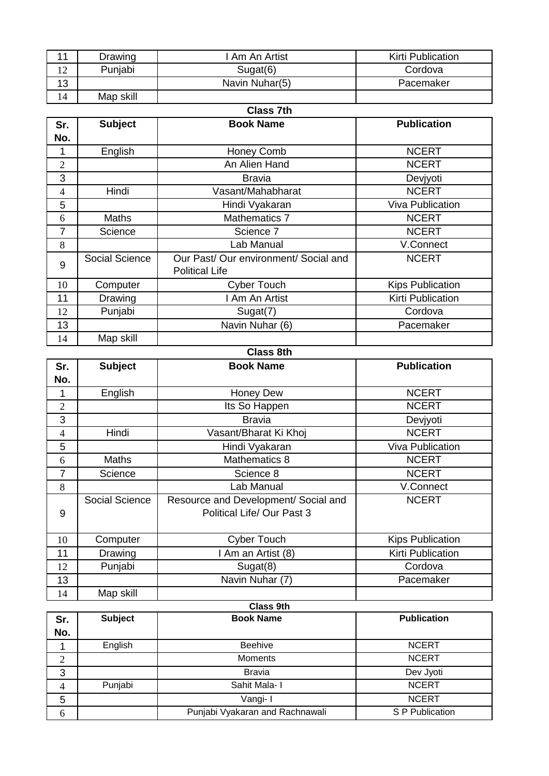| 11             | Drawing               | I Am An Artist                                                     | Kirti Publication               |
|----------------|-----------------------|--------------------------------------------------------------------|---------------------------------|
| 12             | Punjabi               | Sugat(6)                                                           | Cordova                         |
| 13             |                       | Navin Nuhar(5)                                                     | Pacemaker                       |
| 14             | Map skill             |                                                                    |                                 |
|                |                       | <b>Class 7th</b>                                                   |                                 |
| Sr.            | <b>Subject</b>        | <b>Book Name</b>                                                   | <b>Publication</b>              |
| No.            |                       |                                                                    |                                 |
| 1              | English               | Honey Comb                                                         | <b>NCERT</b>                    |
| $\overline{2}$ |                       | An Alien Hand                                                      | <b>NCERT</b>                    |
| 3              |                       | <b>Bravia</b>                                                      | Devjyoti                        |
| $\overline{4}$ | Hindi                 | Vasant/Mahabharat                                                  | <b>NCERT</b>                    |
| 5              |                       | Hindi Vyakaran                                                     | <b>Viva Publication</b>         |
| 6              | Maths                 | <b>Mathematics 7</b>                                               | <b>NCERT</b>                    |
| $\overline{7}$ | Science               | Science 7                                                          | <b>NCERT</b>                    |
| 8              |                       | Lab Manual                                                         | V.Connect                       |
| 9              | <b>Social Science</b> | Our Past/ Our environment/ Social and<br><b>Political Life</b>     | <b>NCERT</b>                    |
| 10             | Computer              | <b>Cyber Touch</b>                                                 | <b>Kips Publication</b>         |
| 11             | Drawing               | I Am An Artist                                                     | <b>Kirti Publication</b>        |
| 12             | Punjabi               | Sugat(7)                                                           | Cordova                         |
| 13             |                       | Navin Nuhar (6)                                                    | Pacemaker                       |
| 14             | Map skill             |                                                                    |                                 |
|                |                       | <b>Class 8th</b>                                                   |                                 |
| Sr.            | <b>Subject</b>        | <b>Book Name</b>                                                   | <b>Publication</b>              |
| No.            |                       |                                                                    |                                 |
|                |                       |                                                                    |                                 |
| 1              |                       | Honey Dew                                                          | <b>NCERT</b>                    |
| $\overline{2}$ | English               | Its So Happen                                                      | <b>NCERT</b>                    |
| 3              |                       | <b>Bravia</b>                                                      |                                 |
| $\overline{4}$ | Hindi                 | Vasant/Bharat Ki Khoj                                              | Devjyoti<br><b>NCERT</b>        |
| 5              |                       | Hindi Vyakaran                                                     | <b>Viva Publication</b>         |
| 6              | Maths                 | Mathematics 8                                                      | <b>NCERT</b>                    |
| $\overline{7}$ | Science               | Science 8                                                          | <b>NCERT</b>                    |
| 8              |                       | Lab Manual                                                         | V.Connect                       |
| 9              | Social Science        | Resource and Development/ Social and<br>Political Life/ Our Past 3 | <b>NCERT</b>                    |
| 10             | Computer              | <b>Cyber Touch</b>                                                 | <b>Kips Publication</b>         |
| 11             | Drawing               | I Am an Artist (8)                                                 | Kirti Publication               |
| 12             | Punjabi               | Sugat(8)                                                           | Cordova                         |
| 13             |                       | Navin Nuhar (7)                                                    | Pacemaker                       |
| 14             | Map skill             |                                                                    |                                 |
|                |                       | <b>Class 9th</b>                                                   |                                 |
| Sr.            | <b>Subject</b>        | <b>Book Name</b>                                                   | <b>Publication</b>              |
| No.            |                       |                                                                    |                                 |
| 1              | English               | Beehive                                                            | <b>NCERT</b>                    |
| $\overline{2}$ |                       | Moments                                                            | <b>NCERT</b>                    |
| 3              |                       | <b>Bravia</b>                                                      | Dev Jyoti                       |
| $\overline{4}$ | Punjabi               | Sahit Mala- I                                                      | <b>NCERT</b>                    |
| 5              |                       | Vangi- I<br>Punjabi Vyakaran and Rachnawali                        | <b>NCERT</b><br>S P Publication |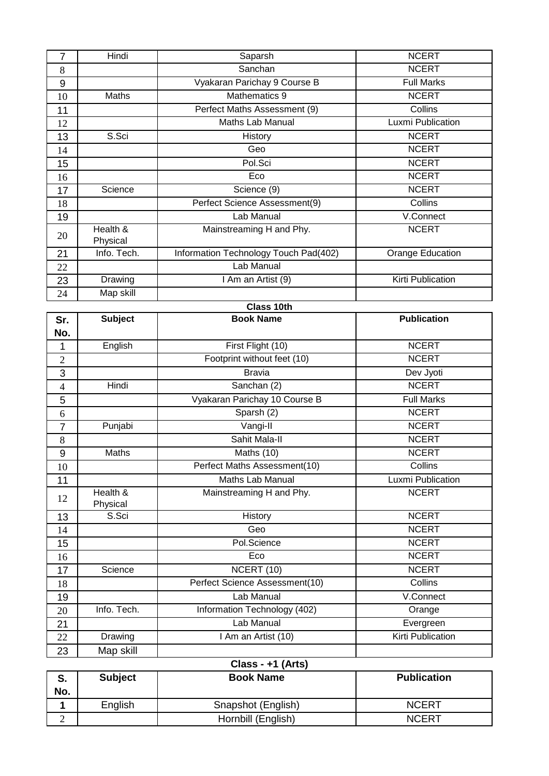| $\overline{7}$ | Hindi                | Saparsh                               | <b>NCERT</b>            |
|----------------|----------------------|---------------------------------------|-------------------------|
| 8              |                      | Sanchan                               | <b>NCERT</b>            |
| 9              |                      | Vyakaran Parichay 9 Course B          | <b>Full Marks</b>       |
| 10             | Maths                | Mathematics 9                         | <b>NCERT</b>            |
| 11             |                      | Perfect Maths Assessment (9)          | Collins                 |
| 12             |                      | Maths Lab Manual                      | Luxmi Publication       |
| 13             | S.Sci                | <b>History</b>                        | <b>NCERT</b>            |
| 14             |                      | Geo                                   | <b>NCERT</b>            |
| 15             |                      | Pol.Sci                               | <b>NCERT</b>            |
| 16             |                      | Eco                                   | <b>NCERT</b>            |
| 17             | Science              | Science (9)                           | <b>NCERT</b>            |
| 18             |                      | Perfect Science Assessment(9)         | Collins                 |
| 19             |                      | Lab Manual                            | V.Connect               |
| 20             | Health &<br>Physical | Mainstreaming H and Phy.              | <b>NCERT</b>            |
| 21             | Info. Tech.          | Information Technology Touch Pad(402) | <b>Orange Education</b> |
| 22             |                      | Lab Manual                            |                         |
| 23             | Drawing              | I Am an Artist (9)                    | Kirti Publication       |
| 24             | Map skill            |                                       |                         |
|                |                      | Class 10th                            |                         |
| Sr.            | <b>Subject</b>       | <b>Book Name</b>                      | <b>Publication</b>      |
| No.            |                      |                                       |                         |
| 1              | English              | First Flight (10)                     | <b>NCERT</b>            |
| $\mathbf{2}$   |                      | Footprint without feet (10)           | <b>NCERT</b>            |
| 3              |                      | <b>Bravia</b>                         | Dev Jyoti               |
| $\overline{4}$ | Hindi                | Sanchan (2)                           | <b>NCERT</b>            |
| $\overline{5}$ |                      | Vyakaran Parichay 10 Course B         | <b>Full Marks</b>       |
| 6              |                      | Sparsh (2)                            | <b>NCERT</b>            |
| $\overline{7}$ | Punjabi              | Vangi-II                              | <b>NCERT</b>            |
| 8              |                      | Sahit Mala-II                         | <b>NCERT</b>            |
| 9              | <b>Maths</b>         | Maths (10)                            | <b>NCERT</b>            |
| 10             |                      | Perfect Maths Assessment(10)          | Collins                 |
| 11             |                      | Maths Lab Manual                      | Luxmi Publication       |
| 12             | Health &<br>Physical | Mainstreaming H and Phy.              | <b>NCERT</b>            |
| 13             | S.Sci                | History                               | <b>NCERT</b>            |
| 14             |                      | Geo                                   | <b>NCERT</b>            |
| 15             |                      | Pol.Science                           | <b>NCERT</b>            |
| 16             |                      | Eco                                   | <b>NCERT</b>            |
| 17             | Science              | NCERT (10)                            | <b>NCERT</b>            |
| 18             |                      | Perfect Science Assessment(10)        | Collins                 |
| 19             |                      | Lab Manual                            | V.Connect               |
| 20             | Info. Tech.          | Information Technology (402)          | Orange                  |
| 21             |                      | Lab Manual                            | Evergreen               |
| 22             | Drawing              | I Am an Artist (10)                   | Kirti Publication       |
| 23             | Map skill            |                                       |                         |
|                |                      | Class - +1 (Arts)                     |                         |
| S.             | <b>Subject</b>       | <b>Book Name</b>                      | <b>Publication</b>      |
| No.            |                      |                                       |                         |
| 1              | English              | Snapshot (English)                    | <b>NCERT</b>            |
| $\overline{2}$ |                      | Hornbill (English)                    | <b>NCERT</b>            |
|                |                      |                                       |                         |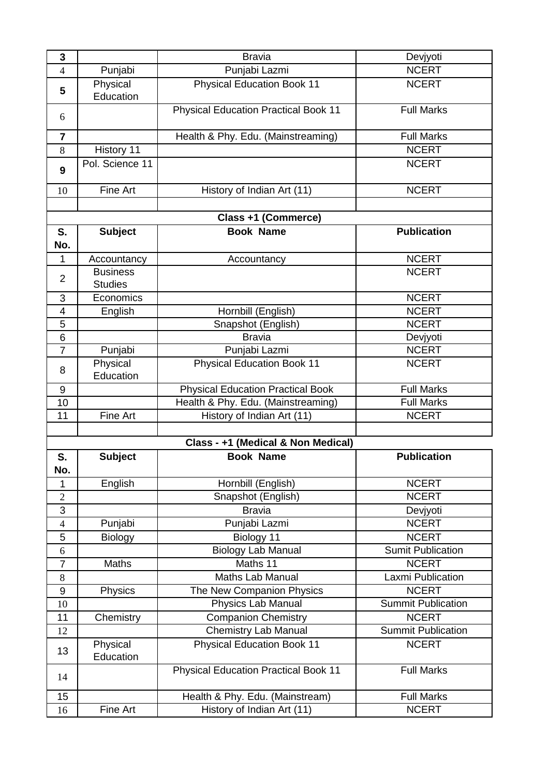| 3              |                       | <b>Bravia</b>                               | Devjyoti                  |
|----------------|-----------------------|---------------------------------------------|---------------------------|
| $\overline{4}$ | Punjabi               | Punjabi Lazmi                               | <b>NCERT</b>              |
| 5              | Physical<br>Education | <b>Physical Education Book 11</b>           | <b>NCERT</b>              |
| 6              |                       | <b>Physical Education Practical Book 11</b> | <b>Full Marks</b>         |
| $\overline{7}$ |                       | Health & Phy. Edu. (Mainstreaming)          | <b>Full Marks</b>         |
| 8              | History 11            |                                             | <b>NCERT</b>              |
| 9              | Pol. Science 11       |                                             | <b>NCERT</b>              |
| 10             | Fine Art              | History of Indian Art (11)                  | <b>NCERT</b>              |
|                |                       |                                             |                           |
|                |                       | Class +1 (Commerce)                         |                           |
| S.             | <b>Subject</b>        | <b>Book Name</b>                            | <b>Publication</b>        |
| No.            |                       |                                             |                           |
| 1              | Accountancy           | Accountancy                                 | <b>NCERT</b>              |
|                | <b>Business</b>       |                                             | <b>NCERT</b>              |
| $\overline{2}$ | <b>Studies</b>        |                                             |                           |
| 3              | Economics             |                                             | <b>NCERT</b>              |
| 4              | English               | Hornbill (English)                          | <b>NCERT</b>              |
| 5              |                       | Snapshot (English)                          | <b>NCERT</b>              |
| 6              |                       | <b>Bravia</b>                               | Devjyoti                  |
| $\overline{7}$ | Punjabi               | Punjabi Lazmi                               | <b>NCERT</b>              |
| 8              | Physical<br>Education | <b>Physical Education Book 11</b>           | <b>NCERT</b>              |
| $9\,$          |                       | <b>Physical Education Practical Book</b>    | <b>Full Marks</b>         |
| 10             |                       | Health & Phy. Edu. (Mainstreaming)          | <b>Full Marks</b>         |
| 11             | Fine Art              | History of Indian Art (11)                  | <b>NCERT</b>              |
|                |                       |                                             |                           |
|                |                       | Class - +1 (Medical & Non Medical)          |                           |
| S.             | <b>Subject</b>        | <b>Book Name</b>                            | <b>Publication</b>        |
| No.            |                       |                                             |                           |
| 1              | English               | Hornbill (English)                          | <b>NCERT</b>              |
| $\overline{2}$ |                       | Snapshot (English)                          | <b>NCERT</b>              |
| 3              |                       | <b>Bravia</b>                               | Devjyoti                  |
| $\overline{4}$ | Punjabi               | Punjabi Lazmi                               | <b>NCERT</b>              |
| 5              | Biology               | Biology 11                                  | <b>NCERT</b>              |
| 6              |                       | <b>Biology Lab Manual</b>                   | <b>Sumit Publication</b>  |
| $\overline{7}$ | Maths                 | Maths 11                                    | <b>NCERT</b>              |
| 8              |                       | <b>Maths Lab Manual</b>                     | Laxmi Publication         |
| $9\,$          | Physics               | The New Companion Physics                   | <b>NCERT</b>              |
| 10             |                       | Physics Lab Manual                          | <b>Summit Publication</b> |
| 11             | Chemistry             | <b>Companion Chemistry</b>                  | <b>NCERT</b>              |
| 12             |                       | <b>Chemistry Lab Manual</b>                 | <b>Summit Publication</b> |
| 13             | Physical<br>Education | <b>Physical Education Book 11</b>           | <b>NCERT</b>              |
| 14             |                       | <b>Physical Education Practical Book 11</b> | <b>Full Marks</b>         |
| 15             |                       | Health & Phy. Edu. (Mainstream)             | <b>Full Marks</b>         |
| 16             | Fine Art              | History of Indian Art (11)                  | <b>NCERT</b>              |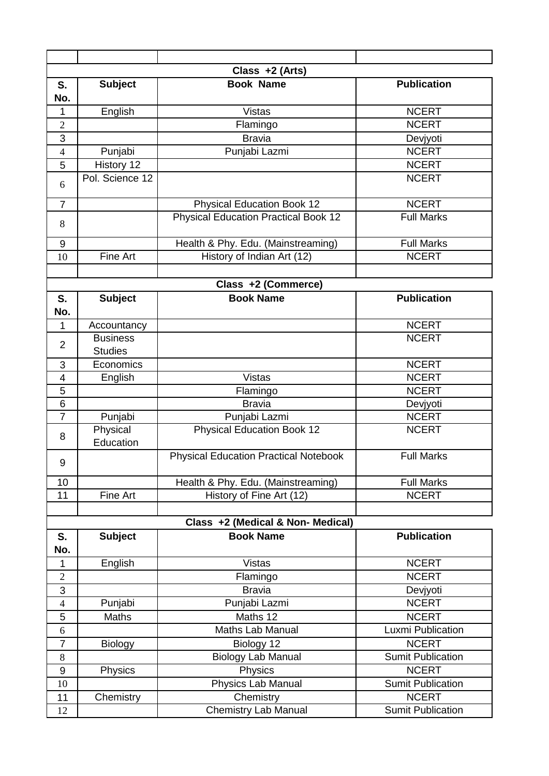|                |                       | Class +2 (Arts)                              |                          |
|----------------|-----------------------|----------------------------------------------|--------------------------|
| S.<br>No.      | <b>Subject</b>        | <b>Book Name</b>                             | <b>Publication</b>       |
| 1              | English               | <b>Vistas</b>                                | <b>NCERT</b>             |
| $\overline{2}$ |                       | Flamingo                                     | <b>NCERT</b>             |
| 3              |                       | <b>Bravia</b>                                | Devjyoti                 |
| $\overline{4}$ | Punjabi               | Punjabi Lazmi                                | <b>NCERT</b>             |
| 5              | History 12            |                                              | <b>NCERT</b>             |
| 6              | Pol. Science 12       |                                              | <b>NCERT</b>             |
| $\overline{7}$ |                       | <b>Physical Education Book 12</b>            | <b>NCERT</b>             |
| 8              |                       | <b>Physical Education Practical Book 12</b>  | <b>Full Marks</b>        |
| $9\,$          |                       | Health & Phy. Edu. (Mainstreaming)           | <b>Full Marks</b>        |
| 10             | <b>Fine Art</b>       | History of Indian Art (12)                   | <b>NCERT</b>             |
|                |                       |                                              |                          |
|                |                       | Class +2 (Commerce)                          |                          |
| S.             | <b>Subject</b>        | <b>Book Name</b>                             | <b>Publication</b>       |
| No.            |                       |                                              |                          |
| 1              | Accountancy           |                                              | <b>NCERT</b>             |
|                | <b>Business</b>       |                                              | <b>NCERT</b>             |
| $\overline{2}$ | <b>Studies</b>        |                                              |                          |
| 3              | Economics             |                                              | <b>NCERT</b>             |
| 4              | English               | <b>Vistas</b>                                | <b>NCERT</b>             |
| 5              |                       | Flamingo                                     | <b>NCERT</b>             |
| 6              |                       | <b>Bravia</b>                                | Devjyoti                 |
| $\overline{7}$ | Punjabi               | Punjabi Lazmi                                | <b>NCERT</b>             |
| 8              | Physical<br>Education | <b>Physical Education Book 12</b>            | <b>NCERT</b>             |
| 9              |                       | <b>Physical Education Practical Notebook</b> | <b>Full Marks</b>        |
| 10             |                       | Health & Phy. Edu. (Mainstreaming)           | <b>Full Marks</b>        |
| 11             | Fine Art              | History of Fine Art (12)                     | <b>NCERT</b>             |
|                |                       |                                              |                          |
|                |                       | Class +2 (Medical & Non- Medical)            |                          |
| S.<br>No.      | <b>Subject</b>        | <b>Book Name</b>                             | <b>Publication</b>       |
| 1              | English               | <b>Vistas</b>                                | <b>NCERT</b>             |
| $\overline{2}$ |                       | Flamingo                                     | <b>NCERT</b>             |
| 3              |                       | <b>Bravia</b>                                | Devjyoti                 |
| $\overline{4}$ | Punjabi               | Punjabi Lazmi                                | <b>NCERT</b>             |
| 5              | <b>Maths</b>          | Maths 12                                     | <b>NCERT</b>             |
| 6              |                       | <b>Maths Lab Manual</b>                      | Luxmi Publication        |
| $\overline{7}$ | <b>Biology</b>        | Biology 12                                   | <b>NCERT</b>             |
| 8              |                       | <b>Biology Lab Manual</b>                    | <b>Sumit Publication</b> |
| 9              | Physics               | Physics                                      | <b>NCERT</b>             |
| 10             |                       | Physics Lab Manual                           | <b>Sumit Publication</b> |
| 11             | Chemistry             | Chemistry                                    | <b>NCERT</b>             |
| 12             |                       | Chemistry Lab Manual                         | <b>Sumit Publication</b> |